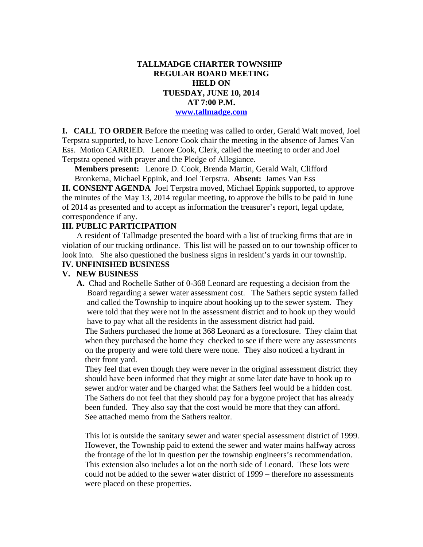### **TALLMADGE CHARTER TOWNSHIP REGULAR BOARD MEETING HELD ON TUESDAY, JUNE 10, 2014 AT 7:00 P.M. www.tallmadge.com**

**I. CALL TO ORDER** Before the meeting was called to order, Gerald Walt moved, Joel Terpstra supported, to have Lenore Cook chair the meeting in the absence of James Van Ess. Motion CARRIED. Lenore Cook, Clerk, called the meeting to order and Joel Terpstra opened with prayer and the Pledge of Allegiance.

**Members present:** Lenore D. Cook, Brenda Martin, Gerald Walt, Clifford Bronkema, Michael Eppink, and Joel Terpstra. **Absent:** James Van Ess

**II. CONSENT AGENDA** Joel Terpstra moved, Michael Eppink supported, to approve the minutes of the May 13, 2014 regular meeting, to approve the bills to be paid in June of 2014 as presented and to accept as information the treasurer's report, legal update, correspondence if any.

## **III. PUBLIC PARTICIPATION**

A resident of Tallmadge presented the board with a list of trucking firms that are in violation of our trucking ordinance. This list will be passed on to our township officer to look into. She also questioned the business signs in resident's yards in our township.

### **IV. UNFINISHED BUSINESS**

### **V. NEW BUSINESS**

 **A.** Chad and Rochelle Sather of 0-368 Leonard are requesting a decision from the Board regarding a sewer water assessment cost. The Sathers septic system failed and called the Township to inquire about hooking up to the sewer system. They were told that they were not in the assessment district and to hook up they would have to pay what all the residents in the assessment district had paid.

 The Sathers purchased the home at 368 Leonard as a foreclosure. They claim that when they purchased the home they checked to see if there were any assessments on the property and were told there were none. They also noticed a hydrant in their front yard.

 They feel that even though they were never in the original assessment district they should have been informed that they might at some later date have to hook up to sewer and/or water and be charged what the Sathers feel would be a hidden cost. The Sathers do not feel that they should pay for a bygone project that has already been funded. They also say that the cost would be more that they can afford. See attached memo from the Sathers realtor.

 This lot is outside the sanitary sewer and water special assessment district of 1999. However, the Township paid to extend the sewer and water mains halfway across the frontage of the lot in question per the township engineers's recommendation. This extension also includes a lot on the north side of Leonard. These lots were could not be added to the sewer water district of 1999 – therefore no assessments were placed on these properties.